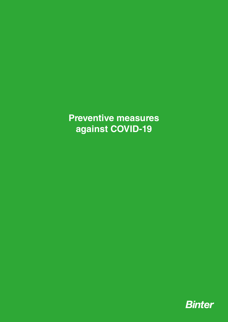# **Preventive measures against COVID-19**

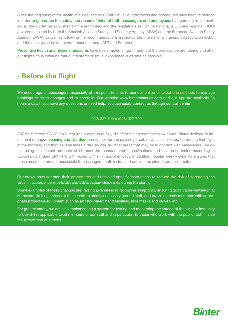Since the beginning of the health crisis caused by COVID-19, all our protocols and procedures have been reinforced in order to guarantee the safety and peace of mind of both passengers and employees, by rigorously implementing all the guidelines published by the authorities and the regulations set out by national (BOE) and regional (BOC) governments and by both the Spanish Aviation Safety and Security Agency (AESA) and the European Aviation Safety Agency (EASA), as well as following the recommendations issued by the International Transport Association (IATA), and the ones given by our aircraft manufacturers (ATR and Embraer).

Preventive health and hygiene measures have been implemented throughout the process: before, during and after our flights; thus ensuring that our customers' travel experience is as safe as possible.

#### · Before the flight

We encourage all passengers, especially at this point in time, to use our online or telephone services to manage bookings or ticket changes and to check-in. Our website www.bintercanarias.com and our App are available 24 hours a day. If you have any questions or need help, you can easily contact us through our call center

#### (922) 327 700 ó (928) 327 700

*EASA's Directive SD 2020-03* requires operators to fully disinfect their aircraft every 24 hours. Binter decided to implement stronger cleaning and disinfection regimes for the passenger cabin, which is cleaned before the first flight in the morning and then several times a day, as well as other areas that may be in contact with passengers. We do this using disinfectant products which meet the manufacturers' specifications and have been tested according to European Standard EN14476 with regard to their virucidal efficacy. In addition, regular weekly cleaning ensures that those areas that are not accessible to passengers, both inside and outside the aircraft, are also treated.

Our crews have adapted their procedures and received specific instructions to reduce the risk of spreading the virus, in accordance with EASA and IATA's Action Guidelines during Pandemic.

Some examples of these changes are: raising awareness to recognise symptoms, ensuring good cabin ventilation at stopovers, limiting access to the aircraft to strictly necessary ground staff, and providing crew members with appropriate protective equipment such as alcohol-based hand sanitiser, face masks and gloves, etc.

For greater safety, we are also implementing a system for testing and monitoring the spread of the virus or immunity to Covid-19, applicable to all members of our staff and in particular, to those who work with the public, both inside the aircraft and at airports.

## **Binter**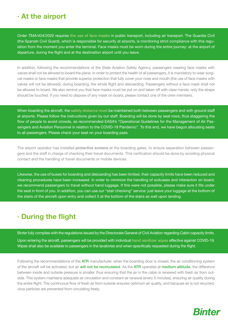#### · At the airport

*Order TMA/424/2020* requires the use of face masks in public transport, including air transport. The Guardia Civil (the Spanish Civil Guard), which is responsible for security at airports, is monitoring strict compliance with this regulation from the moment you enter the terminal. Face masks must be worn during the entire journey: at the airport of departure, during the flight and at the destination airport until you leave.

In addition, following the recommendations of the State Aviation Safety Agency, passengers wearing face masks with valves shall not be allowed to board the plane. In order to protect the health of all passengers, it is mandatory to wear surgical masks or face masks that provide superior protection that fully cover your nose and mouth (the use of face masks with valves will not be allowed), during boarding, the whole flight and deboarding. Passengers without a face mask shall not be allowed to board. We also remind you that face masks must be put on and taken off with clean hands, only the straps should be touched. If you need to dispose of any mask on board, please contact one of the crew members.

When boarding the aircraft, the safety distance must be maintained both between passengers and with ground staff at airports. Please follow the instructions given by our staff. Boarding will be done by seat rows, thus staggering the flow of people to avoid crowds, as recommended EASA's "Operational Guidelines for the Management of Air Passengers and Aviation Personnel in relation to the COVID-19 Pandemic". To this end, we have begun allocating seats to all passengers. Please check your seat on your boarding pass

The airport operator has installed protective screens at the boarding gates, to ensure separation between passengers and the staff in charge of checking their travel documents. This verification should be done by avoiding physical contact and the handling of travel documents or mobile devices.

Likewise, the use of buses for boarding and deboarding has been limited, their capacity limits have been reduced and cleaning procedures have been increased. In order to minimize the handling of suitcases and interaction on board, we recommend passengers to travel without hand luggage. If this were not possible, please make sure it fits under the seat in front of you. In addition, you can use our "stair checking" service: just leave your luggage at the bottom of the stairs of the aircraft upon entry and collect it at the bottom of the stairs as well upon landing.

#### · During the flight

Binter fully complies with the regulations issued by the Directorate General of Civil Aviation regarding Cabin capacity limits.

Upon entering the aircraft, passengers will be provided with individual hand sanitizer wipes effective against COVID-19. Wipes shall also be available to passengers in the lavatories and when specifically requested during the flight.

Following the recommendations of the ATR manufacturer, when the boarding door is closed, the air conditioning system of the aircraft will be activated, but air will not be recirculated. As the ATR operates at medium altitude, the difference between inside and outside pressure is smaller, thus ensuring that the air in the cabin is renewed with fresh air from outside. This system maintains adequate air circulation and constant air renewal (every 5 minutes), ensuring air quality during the entire flight. The continuous flow of fresh air from outside ensures optimum air quality, and because air is not recycled, virus particles are prevented from circulating freely.

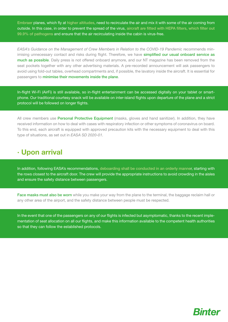Embraer planes, which fly at higher altitudes, need to recirculate the air and mix it with some of the air coming from outside. In this case, in order to prevent the spread of the virus, aircraft are fitted with HEPA filters, which filter out 99.9% of pathogens and ensure that the air recirculating inside the cabin is virus-free.

*EASA's Guidance on the Management of Crew Members in Relation to the COVID-19 Pandemic* recommends minimising unnecessary contact and risks during flight. Therefore, we have simplified our usual onboard service as much as possible. Daily press is not offered onboard anymore, and our NT magazine has been removed from the seat pockets together with any other advertising materials. A pre-recorded announcement will ask passengers to avoid using fold-out tables, overhead compartments and, if possible, the lavatory inside the aircraft. It is essential for passengers to minimise their movements inside the plane.

In-flight Wi-Fi (AirFi) is still available, so in-flight entertainment can be accessed digitally on your tablet or smartphone. Our traditional courtesy snack will be available on inter-island flights upon departure of the plane and a strict protocol will be followed on longer flights.

All crew members use Personal Protective Equipment (masks, gloves and hand sanitizer). In addition, they have received information on how to deal with cases with respiratory infection or other symptoms of coronavirus on board. To this end, each aircraft is equipped with approved precaution kits with the necessary equipment to deal with this type of situations, as set out in *EASA SD 2020-01.*

#### · Upon arrival

In addition, following EASA's recommendations, deboarding shall be conducted in an orderly manner, starting with the rows closest to the aircraft door. The crew will provide the appropriate instructions to avoid crowding in the aisles and ensure the safety distance between passengers.

Face masks must also be worn while you make your way from the plane to the terminal, the baggage reclaim hall or any other area of the airport, and the safety distance between people must be respected.

In the event that one of the passengers on any of our flights is infected but asymptomatic, thanks to the recent implementation of seat allocation on all our flights, and make this information available to the competent health authorities so that they can follow the established protocols.

# **Binter**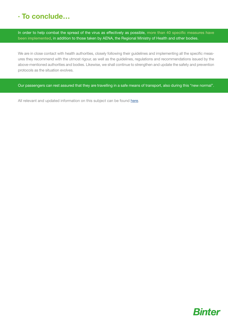### · To conclude…

In order to help combat the spread of the virus as effectively as possible, more than 40 specific measures have been implemented, in addition to those taken by AENA, the Regional Ministry of Health and other bodies.

We are in close contact with health authorities, closely following their guidelines and implementing all the specific measures they recommend with the utmost rigour, as well as the guidelines, regulations and recommendations issued by the above-mentioned authorities and bodies. Likewise, we shall continue to strengthen and update the safety and prevention protocols as the situation evolves.

Our passengers can rest assured that they are travelling in a safe means of transport, also during this "new normal".

All relevant and updated information on this subject can be found here.

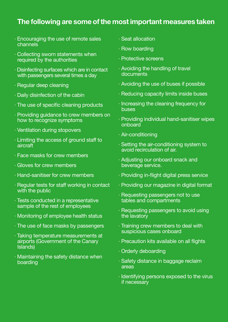### The following are some of the most important measures taken

- · Encouraging the use of remote sales channels
- · Collecting sworn statements when required by the authorities
- · Disinfecting surfaces which are in contact with passengers several times a day
- · Regular deep cleaning
- · Daily disinfection of the cabin
- · The use of specific cleaning products
- · Providing guidance to crew members on how to recognize symptoms
- · Ventilation during stopovers
- · Limiting the access of ground staff to aircraft
- · Face masks for crew members
- · Gloves for crew members
- · Hand-sanitiser for crew members
- · Regular tests for staff working in contact with the public
- · Tests conducted in a representative sample of the rest of employees
- · Monitoring of employee health status
- · The use of face masks by passengers
- · Taking temperature measurements at airports (Government of the Canary Islands)
- · Maintaining the safety distance when boarding
- · Seat allocation
- · Row boarding
- · Protective screens
- · Avoiding the handling of travel documents
- · Avoiding the use of buses if possible
- · Reducing capacity limits inside buses
- · Increasing the cleaning frequency for buses
- · Providing individual hand-sanitiser wipes onboard
- · Air-conditioning
- · Setting the air-conditioning system to avoid recirculation of air.
- · Adjusting our onboard snack and beverage service.
- · Providing in-flight digital press service
- · Providing our magazine in digital format
- · Requesting passengers not to use tables and compartments
- · Requesting passengers to avoid using the lavatory
- · Training crew members to deal with suspicious cases onboard
- · Precaution kits available on all flights
- · Orderly deboarding
- · Safety distance in baggage reclaim areas
- · Identifying persons exposed to the virus if necessary